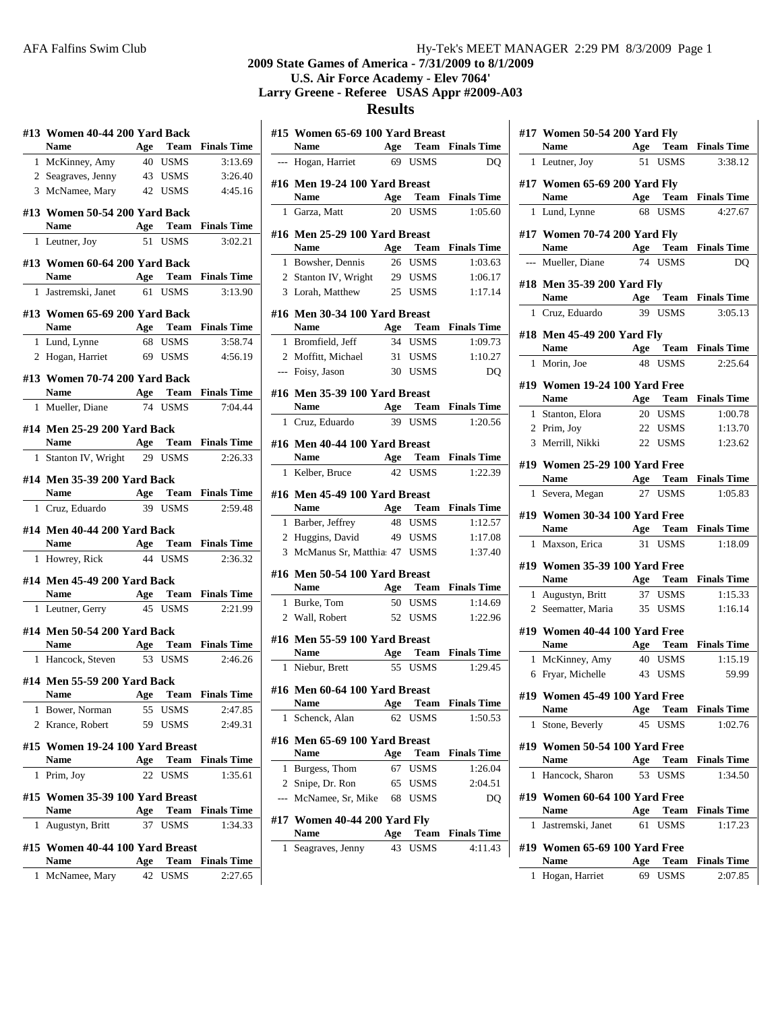### **2009 State Games of America - 7/31/2009 to 8/1/2009 U.S. Air Force Academy - Elev 7064' Larry Greene - Referee USAS Appr #2009-A03**

### **Results**

|   | #13 Women 40-44 200 Yard Back                  |     |                                |                                       | #15            |
|---|------------------------------------------------|-----|--------------------------------|---------------------------------------|----------------|
|   | <b>Name</b>                                    |     |                                | <b>Example 3 Age Team Finals Time</b> |                |
|   | 1 McKinney, Amy 40 USMS                        |     |                                | 3:13.69                               |                |
|   | 2 Seagraves, Jenny 43 USMS                     |     |                                | 3:26.40                               |                |
|   | 3 McNamee, Mary 42 USMS 4:45.16                |     |                                |                                       | #16            |
|   | #13 Women 50-54 200 Yard Back                  |     |                                |                                       |                |
|   | Name Age Team Finals Time                      |     |                                |                                       | #16            |
|   | 1 Leutner, Joy                                 |     | 51 USMS                        | 3:02.21                               |                |
|   | #13 Women 60-64 200 Yard Back                  |     |                                |                                       |                |
|   | Name Age Team Finals Time                      |     |                                |                                       |                |
|   | 1 Jastremski, Janet 61 USMS                    |     |                                | 3:13.90                               |                |
|   | #13 Women 65-69 200 Yard Back                  |     |                                |                                       | #16            |
|   | Name Age Team Finals Time                      |     |                                |                                       |                |
|   | 1 Lund, Lynne 68 USMS 3:58.74                  |     |                                |                                       | $\overline{1}$ |
|   | 2 Hogan, Harriet 69 USMS 4:56.19               |     |                                |                                       |                |
|   | #13 Women 70-74 200 Yard Back                  |     |                                |                                       |                |
|   | Name Age Team Finals Time                      |     |                                |                                       | #16            |
|   | 1 Mueller, Diane 74 USMS                       |     |                                | 7:04.44                               |                |
|   | #14 Men 25-29 200 Yard Back                    |     |                                |                                       | - 1            |
|   | Name Age Team Finals Time                      |     |                                |                                       | #16            |
|   | 1 Stanton IV, Wright 29 USMS 2:26.33           |     |                                |                                       |                |
|   | #14 Men 35-39 200 Yard Back                    |     |                                |                                       |                |
|   | Name Age Team Finals Time                      |     |                                |                                       | #16            |
|   | 1 Cruz, Eduardo 39 USMS 2:59.48                |     |                                |                                       |                |
|   | #14 Men 40-44 200 Yard Back                    |     |                                |                                       |                |
|   | Name Age Team Finals Time                      |     |                                |                                       |                |
|   | 1 Howrey, Rick 44 USMS 2:36.32                 |     |                                |                                       |                |
|   | #14 Men 45-49 200 Yard Back                    |     |                                |                                       | #16            |
|   | Name Age Team Finals Time                      |     |                                |                                       |                |
|   | 1 Leutner, Gerry 45 USMS 2:21.99               |     |                                |                                       | - 1            |
|   | #14 Men 50-54 200 Yard Back                    |     |                                |                                       |                |
|   | Name Age Team Finals Time                      |     |                                |                                       | #16            |
|   | 1 Hancock, Steven 53 USMS                      |     |                                | 2:46.26                               |                |
|   |                                                |     |                                |                                       | $\overline{1}$ |
|   | #14 Men 55-59 200 Yard Back<br>Name            | Age | $\operatorname{\mathbf{Team}}$ | <b>Finals Time</b>                    | #16            |
| 1 | Bower, Norman                                  | 55  | <b>USMS</b>                    | 2:47.85                               |                |
| 2 | Krance, Robert                                 | 59  | USMS                           | 2:49.31                               |                |
|   |                                                |     |                                |                                       | #16            |
|   | #15 Women 19-24 100 Yard Breast<br><b>Name</b> | Age | Team                           | <b>Finals Time</b>                    |                |
| 1 | Prim, Joy                                      | 22  | USMS                           | 1:35.61                               |                |
|   |                                                |     |                                |                                       |                |
|   | #15 Women 35-39 100 Yard Breast                |     |                                |                                       |                |
|   | <b>Name</b>                                    | Age | Team                           | <b>Finals Time</b>                    | #17            |
| 1 | Augustyn, Britt                                | 37  | <b>USMS</b>                    | 1:34.33                               |                |
|   | #15 Women 40-44 100 Yard Breast                |     |                                |                                       |                |
|   | Name                                           | Age |                                | <b>Team</b> Finals Time               |                |
| 1 | McNamee, Mary                                  |     | 42 USMS                        | 2:27.65                               |                |

|     | #15 Women 65-69 100 Yard Breast                      |     |             |                                       | #17 W               |
|-----|------------------------------------------------------|-----|-------------|---------------------------------------|---------------------|
|     | <b>Name</b>                                          |     |             | Age Team Finals Time                  | Na                  |
|     | --- Hogan, Harriet 69 USMS                           |     |             | DO                                    | 1 Let               |
|     | #16 Men 19-24 100 Yard Breast                        |     |             |                                       | #17 W               |
|     | Name Age Team Finals Time                            |     |             |                                       | Na                  |
|     | 1 Garza, Matt                                        |     | 20 USMS     | 1:05.60                               | $1$ Lui             |
|     | #16 Men 25-29 100 Yard Breast                        |     |             |                                       | #17 W               |
|     | Name Age Team Finals Time                            |     |             |                                       | Na                  |
|     | 1 Bowsher, Dennis 26 USMS                            |     |             | 1:03.63                               | --- Mu              |
|     | 2 Stanton IV, Wright 29 USMS 1:06.17                 |     |             |                                       |                     |
|     | 3 Lorah, Matthew 25 USMS 1:17.14                     |     |             |                                       | #18 M<br>Na         |
|     | #16 Men 30-34 100 Yard Breast                        |     |             |                                       | $1 \text{ Cn}$      |
|     | <b>Name</b>                                          |     |             | Age Team Finals Time                  |                     |
|     | 1 Bromfield, Jeff                                    |     | 34 USMS     | 1:09.73                               | #18 M               |
|     | 2 Moffitt, Michael                                   |     | 31 USMS     | 1:10.27                               | Na                  |
|     | --- Foisy, Jason                                     |     | 30 USMS     | D <sub>O</sub>                        | 1 Mc                |
|     |                                                      |     |             |                                       | #19 W               |
|     | #16 Men 35-39 100 Yard Breast<br><b>Name</b>         |     |             |                                       | Na                  |
|     | 1 Cruz, Eduardo 39 USMS 1:20.56                      |     |             | <b>Example 2 Age Team Finals Time</b> | Sta<br>$\mathbf{1}$ |
|     |                                                      |     |             |                                       | 2 Pri               |
|     | #16 Men 40-44 100 Yard Breast                        |     |             |                                       | 3 Me                |
|     | Name Age Team Finals Time                            |     |             |                                       | #19 W               |
|     | 1 Kelber, Bruce                                      |     | 42 USMS     | 1:22.39                               | Na                  |
|     | #16 Men 45-49 100 Yard Breast                        |     |             |                                       | $1$ Sev             |
|     | Name Age Team Finals Time                            |     |             |                                       |                     |
|     | 1 Barber, Jeffrey 48 USMS                            |     |             | 1:12.57                               | #19 W<br>Na         |
|     | 2 Huggins, David 49 USMS 1:17.08                     |     |             |                                       | $\mathbf{1}$        |
|     | 3 McManus Sr, Matthia: 47 USMS 1:37.40               |     |             |                                       | Ma                  |
|     | #16 Men 50-54 100 Yard Breast                        |     |             |                                       | #19 W               |
|     | Name                                                 |     |             | <b>Example 2 Age Team Finals Time</b> | Na                  |
|     | 1 Burke, Tom                                         |     | 50 USMS     | 1:14.69                               | $1$ Au              |
|     | 2 Wall, Robert                                       |     | 52 USMS     | 1:22.96                               | $2$ See             |
|     |                                                      |     |             |                                       | #19 W               |
|     | #16 Men 55-59 100 Yard Breast                        |     |             |                                       | Na                  |
|     | Name Age Team Finals Time<br>1 Niebur, Brett 55 USMS |     |             | 1:29.45                               | 1 Mc                |
|     |                                                      |     |             |                                       | 6 Fry               |
|     | #16 Men 60-64 100 Yard Breast                        |     |             |                                       | #19 W               |
|     | Name                                                 | Age | Team        | <b>Finals Time</b>                    | Na                  |
| 1   | Schenck, Alan                                        | 62  | <b>USMS</b> | 1:50.53                               | Sto<br>1            |
|     | #16 Men 65-69 100 Yard Breast                        |     |             |                                       | #19 W               |
|     | Name                                                 |     |             | Age Team Finals Time                  | Na                  |
|     | 1 Burgess, Thom                                      | 67  | <b>USMS</b> | 1:26.04                               | Ha<br>1             |
|     | 2 Snipe, Dr. Ron                                     | 65  | USMS        | 2:04.51                               |                     |
| --- | McNamee, Sr, Mike                                    | 68  | <b>USMS</b> | DO                                    | #19 W               |
|     | #17 Women 40-44 200 Yard Fly                         |     |             |                                       | Na                  |
|     | Name                                                 | Age | Team        | <b>Finals Time</b>                    | 1<br>Jas            |
|     | 1 Seagraves, Jenny                                   | 43  | <b>USMS</b> | 4:11.43                               | #19 W               |

|   | #17 Women 50-54 200 Yard Fly          |     |             |                             |
|---|---------------------------------------|-----|-------------|-----------------------------|
|   | Name                                  |     |             | Age Team Finals Time        |
|   | 1 Leutner, Joy                        |     | 51 USMS     | 3:38.12                     |
|   | #17 Women 65-69 200 Yard Fly          |     |             |                             |
|   | <b>Name</b>                           |     |             | <b>Age</b> Team Finals Time |
|   | 1 Lund, Lynne                         |     | 68 USMS     | 4:27.67                     |
|   | #17 Women 70-74 200 Yard Fly          |     |             |                             |
|   | <b>Name</b>                           |     |             | Age Team Finals Time        |
|   | --- Mueller, Diane                    | 74  | <b>USMS</b> | DO                          |
|   | #18 Men 35-39 200 Yard Fly            |     |             |                             |
|   | Name                                  |     |             | Age Team Finals Time        |
|   | 1 Cruz, Eduardo                       |     | 39 USMS     | 3:05.13                     |
|   | #18 Men 45-49 200 Yard Fly            |     |             |                             |
|   | Name                                  |     |             | Age Team Finals Time        |
|   | 1 Morin, Joe                          | 48  | <b>USMS</b> | 2:25.64                     |
|   | #19 Women 19-24 100 Yard Free         |     |             |                             |
|   | Name                                  |     |             | Age Team Finals Time        |
|   | 1 Stanton, Elora                      |     | 20 USMS     | 1:00.78                     |
|   | 2 Prim, Joy                           |     | 22 USMS     | 1:13.70                     |
|   | 3 Merrill, Nikki                      |     | 22 USMS     | 1:23.62                     |
|   |                                       |     |             |                             |
|   | #19 Women 25-29 100 Yard Free         |     |             |                             |
|   | Name                                  |     |             | Age Team Finals Time        |
|   | 1 Severa, Megan                       |     | 27 USMS     | 1:05.83                     |
|   | #19 Women 30-34 100 Yard Free         |     |             |                             |
|   | <b>Name</b>                           |     |             | Age Team Finals Time        |
|   | 1 Maxson, Erica                       |     | 31 USMS     | 1:18.09                     |
|   | #19 Women 35-39 100 Yard Free         |     |             |                             |
|   | <b>Name</b>                           |     |             | Age Team Finals Time        |
|   | 1 Augustyn, Britt                     |     | 37 USMS     | 1:15.33                     |
|   | 2 Seematter, Maria 35                 |     | USMS        | 1:16.14                     |
|   | #19 Women 40-44 100 Yard Free         |     |             |                             |
|   | <b>Name</b>                           |     |             | Age Team Finals Time        |
|   | 1 McKinney, Amy                       |     | 40 USMS     | 1:15.19                     |
|   | 6 Fryar, Michelle                     |     | 43 USMS     | 59.99                       |
|   | #19 Women 45-49 100 Yard Free         |     |             |                             |
|   | Name                                  | Age | Team        | <b>Finals Time</b>          |
|   | 1 Stone, Beverly                      | 45  | <b>USMS</b> | 1:02.76                     |
|   |                                       |     |             |                             |
|   | #19 Women 50-54 100 Yard Free<br>Name | Age | <b>Team</b> | <b>Finals Time</b>          |
| 1 | Hancock, Sharon                       | 53  | <b>USMS</b> | 1:34.50                     |
|   |                                       |     |             |                             |
|   | #19 Women 60-64 100 Yard Free         |     |             |                             |
|   | Name                                  | Age | <b>Team</b> | <b>Finals Time</b>          |
| 1 | Jastremski, Janet                     | 61  | <b>USMS</b> | 1:17.23                     |
|   | #19 Women 65-69 100 Yard Free         |     |             |                             |
|   | <b>Name</b>                           | Age | Team        | <b>Finals Time</b>          |
| 1 | Hogan, Harriet                        | 69  | <b>USMS</b> | 2:07.85                     |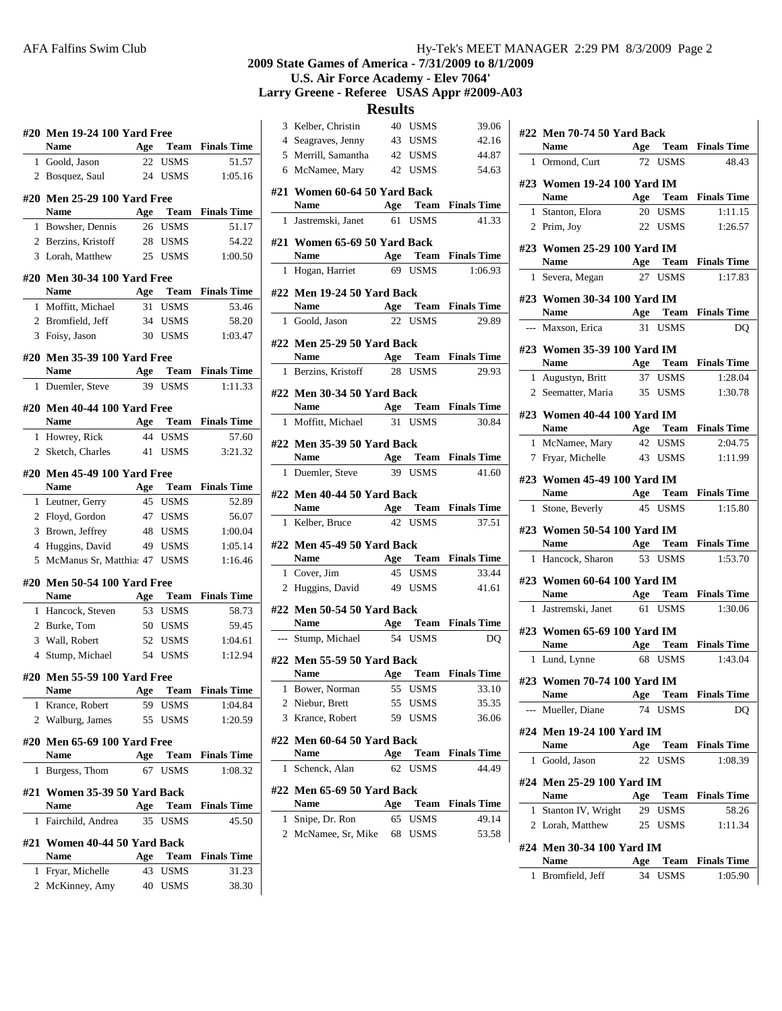# **2009 State Games of America - 7/31/2009 to 8/1/2009**

**U.S. Air Force Academy - Elev 7064' Larry Greene - Referee USAS Appr #2009-A03**

|   | #20 Men 19-24 100 Yard Free         |     |             |                             | 3              |
|---|-------------------------------------|-----|-------------|-----------------------------|----------------|
|   | <b>Name</b>                         | Age |             | Team Finals Time            | $\overline{4}$ |
|   | 1 Goold, Jason                      |     | 22 USMS     | 51.57                       | 5              |
|   | 2 Bosquez, Saul                     |     | 24 USMS     | 1:05.16                     | 6              |
|   |                                     |     |             |                             | #21            |
|   | #20 Men 25-29 100 Yard Free<br>Name |     |             | Age Team Finals Time        |                |
|   | 1 Bowsher, Dennis                   |     | 26 USMS     | 51.17                       | $\mathbf{1}$   |
|   | 2 Berzins, Kristoff 28 USMS         |     |             | 54.22                       | #21            |
|   | 3 Lorah, Matthew 25 USMS            |     |             | 1:00.50                     |                |
|   |                                     |     |             |                             | $\mathbf{1}$   |
|   | #20 Men 30-34 100 Yard Free         |     |             |                             |                |
|   | Name                                |     |             | Age Team Finals Time        | #22            |
|   | 1 Moffitt, Michael                  |     | 31 USMS     | 53.46                       |                |
|   | 2 Bromfield, Jeff                   |     | 34 USMS     | 58.20                       | 1              |
|   | 3 Foisy, Jason                      |     | 30 USMS     | 1:03.47                     | #22            |
|   | #20 Men 35-39 100 Yard Free         |     |             |                             |                |
|   | Name                                |     |             | <b>Age</b> Team Finals Time | $\mathbf{1}$   |
|   | 1 Duemler, Steve 39 USMS            |     |             | 1:11.33                     | #22            |
|   | #20 Men 40-44 100 Yard Free         |     |             |                             |                |
|   | Name                                |     |             | <b>Age</b> Team Finals Time | 1              |
|   | 1 Howrey, Rick                      |     | 44 USMS     | 57.60                       |                |
|   | 2 Sketch, Charles                   |     | 41 USMS     | 3:21.32                     | #22            |
|   |                                     |     |             |                             |                |
|   | #20 Men 45-49 100 Yard Free         |     |             |                             | 1              |
|   | Name                                |     |             | <b>Age</b> Team Finals Time | #22            |
|   | 1 Leutner, Gerry 45 USMS            |     |             | 52.89                       |                |
|   | 2 Floyd, Gordon                     |     | 47 USMS     | 56.07                       | 1              |
|   | 3 Brown, Jeffrey                    |     | 48 USMS     | 1:00.04                     |                |
|   | 4 Huggins, David                    |     | 49 USMS     | 1:05.14                     | #22            |
|   | 5 McManus Sr, Matthia: 47 USMS      |     |             | 1:16.46                     | 1              |
|   | #20 Men 50-54 100 Yard Free         |     |             |                             | 2              |
|   | Name Age Team Finals Time           |     |             |                             |                |
|   | 1 Hancock, Steven                   |     | 53 USMS     | 58.73                       | #22            |
|   | 2 Burke, Tom                        |     | 50 USMS     | 59.45                       |                |
|   | 3 Wall, Robert                      |     | 52 USMS     | 1:04.61                     |                |
|   | 4 Stump, Michael 54 USMS            |     |             | 1:12.94                     | #22            |
|   | #20 Men 55-59 100 Yard Free         |     |             |                             |                |
|   | Name                                | Age |             | <b>Team</b> Finals Time     | $\mathbf{1}$   |
| 1 | Krance, Robert                      | 59  | <b>USMS</b> | 1:04.84                     | 2              |
| 2 | Walburg, James                      | 55  | <b>USMS</b> | 1:20.59                     | 3              |
|   |                                     |     |             |                             |                |
|   | #20 Men 65-69 100 Yard Free         |     |             |                             | #22            |
|   | Name                                | Age | Team        | <b>Finals Time</b>          | 1              |
| 1 | Burgess, Thom                       | 67  | <b>USMS</b> | 1:08.32                     |                |
|   | #21 Women 35-39 50 Yard Back        |     |             |                             | #22            |
|   | <b>Name</b>                         | Age | Team        | <b>Finals Time</b>          |                |
| 1 | Fairchild, Andrea                   | 35  | <b>USMS</b> | 45.50                       | 1              |
|   | #21  Women 40-44 50 Yard Back       |     |             |                             | 2              |
|   | Name                                | Age | Team        | <b>Finals Time</b>          |                |
| 1 | Fryar, Michelle                     | 43  | <b>USMS</b> | 31.23                       |                |
|   | 2 McKinney, Amy                     | 40  | <b>USMS</b> | 38.30                       |                |
|   |                                     |     |             |                             |                |

|   |                                                                | <b>Results</b> |             |                                        |                |         |
|---|----------------------------------------------------------------|----------------|-------------|----------------------------------------|----------------|---------|
|   | 3 Kelber, Christin                                             |                | 40 USMS     | 39.06                                  | #22 M          |         |
|   | 4 Seagraves, Jenny                                             |                | 43 USMS     | 42.16                                  |                | Na      |
|   | 5 Merrill, Samantha                                            |                | 42 USMS     | 44.87                                  |                | 1 Ori   |
|   | 6 McNamee, Mary 42 USMS                                        |                |             | 54.63                                  |                |         |
|   |                                                                |                |             |                                        | #23 W          |         |
|   | #21 Women 60-64 50 Yard Back                                   |                |             |                                        |                | Na      |
|   | Name Age Team Finals Time<br>1 Jastremski, Janet 61 USMS 41.33 |                |             |                                        | $\mathbf{1}$   | Sta     |
|   |                                                                |                |             |                                        |                | 2 Pri   |
|   | #21 Women 65-69 50 Yard Back                                   |                |             |                                        | #23 W          |         |
|   | Name Age Team Finals Time                                      |                |             |                                        |                | Na      |
|   | 1 Hogan, Harriet 69 USMS                                       |                |             | 1:06.93                                |                | $1$ Sev |
|   | #22 Men 19-24 50 Yard Back                                     |                |             |                                        |                |         |
|   | Name Age Team Finals Time                                      |                |             |                                        | #23 W          |         |
|   | 1 Goold, Jason 22 USMS                                         |                |             | 29.89                                  |                | Na      |
|   |                                                                |                |             |                                        | --- Ma         |         |
|   | #22 Men 25-29 50 Yard Back                                     |                |             |                                        | #23 W          |         |
|   | <b>Name</b>                                                    |                |             | <b>Example 18 Age Team Finals Time</b> |                | Na      |
|   | 1 Berzins, Kristoff 28 USMS 29.93                              |                |             |                                        |                | 1 Au    |
|   | #22 Men 30-34 50 Yard Back                                     |                |             |                                        |                | $2$ See |
|   |                                                                |                |             |                                        |                |         |
|   | Name Age Team Finals Time<br>1 Moffitt, Michael 31 USMS 30.84  |                |             |                                        | #23 W          |         |
|   |                                                                |                |             |                                        |                | Na      |
|   | #22 Men 35-39 50 Yard Back                                     |                |             |                                        |                | 1 Mc    |
|   | Name Age Team Finals Time                                      |                |             |                                        |                | 7 Fry   |
|   | 1 Duemler, Steve 39 USMS 41.60                                 |                |             |                                        | #23 W          |         |
|   | #22 Men 40-44 50 Yard Back                                     |                |             |                                        |                | Na      |
|   | Name Age Team Finals Time                                      |                |             |                                        |                | 1 Sto   |
|   | 1 Kelber, Bruce 42 USMS                                        |                |             | 37.51                                  |                |         |
|   |                                                                |                |             |                                        | #23 W          | Na      |
|   | #22 Men 45-49 50 Yard Back<br>Name Age Team Finals Time        |                |             |                                        |                | 1 Ha    |
|   | 1 Cover, Jim 45 USMS                                           |                |             | 33.44                                  |                |         |
|   | 2 Huggins, David 49 USMS                                       |                |             | 41.61                                  | #23 W          |         |
|   |                                                                |                |             |                                        |                | Na      |
|   | #22 Men 50-54 50 Yard Back                                     |                |             |                                        | $\mathbf{1}$   | Jas     |
|   | Name Age Team Finals Time                                      |                |             |                                        | #23 W          |         |
|   | --- Stump, Michael 54 USMS                                     |                |             | DQ                                     |                | Na      |
|   | #22 Men 55-59 50 Yard Back                                     |                |             |                                        |                | 1 Lui   |
|   | <b>Name</b> Age Team Finals Time                               |                |             |                                        |                |         |
| 1 | Bower, Norman                                                  | 55             | USMS        | 33.10                                  | #23 W          |         |
|   | 2 Niebur, Brett                                                | 55             | <b>USMS</b> | 35.35                                  |                | Na      |
|   | 3 Krance, Robert                                               | 59             | USMS        | 36.06                                  | $\overline{a}$ | Μu      |
|   |                                                                |                |             |                                        | #24 M          |         |
|   | #22 Men 60-64 50 Yard Back                                     |                |             |                                        |                | Na      |
|   | Name                                                           | Age            | Team        | <b>Finals Time</b>                     | 1              | Go      |
| 1 | Schenck, Alan                                                  | 62             | <b>USMS</b> | 44.49                                  |                |         |
|   | #22 Men 65-69 50 Yard Back                                     |                |             |                                        | #24 M          |         |
|   | <b>Name</b>                                                    | Age            | Team        | <b>Finals Time</b>                     |                | Na      |
| 1 | Snipe, Dr. Ron                                                 | 65             | USMS        | 49.14                                  | 1              | Sta     |
| 2 | McNamee, Sr, Mike                                              | 68             | <b>USMS</b> | 53.58                                  |                | $2$ Loi |
|   |                                                                |                |             |                                        |                |         |

|   | #22 Men 70-74 50 Yard Back  |     |             |                      |
|---|-----------------------------|-----|-------------|----------------------|
|   | <b>Name</b>                 |     |             | Age Team Finals Time |
|   | 1 Ormond, Curt              |     | 72 USMS     | 48.43                |
|   | #23 Women 19-24 100 Yard IM |     |             |                      |
|   | <b>Name</b>                 |     |             | Age Team Finals Time |
|   | 1 Stanton, Elora            |     | 20 USMS     | 1:11.15              |
|   | 2 Prim, Joy                 | 22  | USMS        | 1:26.57              |
|   | #23 Women 25-29 100 Yard IM |     |             |                      |
|   | Name Age Team Finals Time   |     |             |                      |
|   | 1 Severa, Megan             |     | 27 USMS     | 1:17.83              |
|   | #23 Women 30-34 100 Yard IM |     |             |                      |
|   | Name                        |     |             | Age Team Finals Time |
|   | --- Maxson, Erica           | 31  | <b>USMS</b> | DQ                   |
|   | #23 Women 35-39 100 Yard IM |     |             |                      |
|   | Name                        |     |             | Age Team Finals Time |
|   | 1 Augustyn, Britt           |     | 37 USMS     | 1:28.04              |
|   | 2 Seematter, Maria          |     | 35 USMS     | 1:30.78              |
|   | #23 Women 40-44 100 Yard IM |     |             |                      |
|   | Name                        |     |             | Age Team Finals Time |
|   | 1 McNamee, Mary             |     | 42 USMS     | 2:04.75              |
|   | 7 Fryar, Michelle           |     | 43 USMS     | 1:11.99              |
|   | #23 Women 45-49 100 Yard IM |     |             |                      |
|   | <b>Name</b>                 |     |             | Age Team Finals Time |
|   | 1 Stone, Beverly            |     | 45 USMS     | 1:15.80              |
|   | #23 Women 50-54 100 Yard IM |     |             |                      |
|   | Name                        |     |             | Age Team Finals Time |
|   | 1 Hancock, Sharon 53 USMS   |     |             | 1:53.70              |
|   | #23 Women 60-64 100 Yard IM |     |             |                      |
|   | <b>Name</b>                 |     |             | Age Team Finals Time |
|   | 1 Jastremski, Janet         |     | 61 USMS     | 1:30.06              |
|   | #23 Women 65-69 100 Yard IM |     |             |                      |
|   | <b>Name</b>                 |     |             | Age Team Finals Time |
|   | 1 Lund, Lynne               |     | 68 USMS     | 1:43.04              |
|   | #23 Women 70-74 100 Yard IM |     |             |                      |
|   | Name                        | Age | Team        | <b>Finals Time</b>   |
|   | --- Mueller, Diane          | 74  | USMS        | DO                   |
|   | #24 Men 19-24 100 Yard IM   |     |             |                      |
|   | Name                        | Age | Team        | <b>Finals Time</b>   |
| 1 | Goold, Jason                | 22  | USMS        | 1:08.39              |
|   | #24 Men 25-29 100 Yard IM   |     |             |                      |
|   | Name                        | Age | Team        | <b>Finals Time</b>   |
|   | 1 Stanton IV, Wright        | 29  | USMS        | 58.26                |
|   | 2 Lorah, Matthew            | 25  | USMS        | 1:11.34              |
|   | #24 Men 30-34 100 Yard IM   |     |             |                      |
|   | Name                        | Age | Team        | <b>Finals Time</b>   |
| 1 | Bromfield, Jeff             | 34  | <b>USMS</b> | 1:05.90              |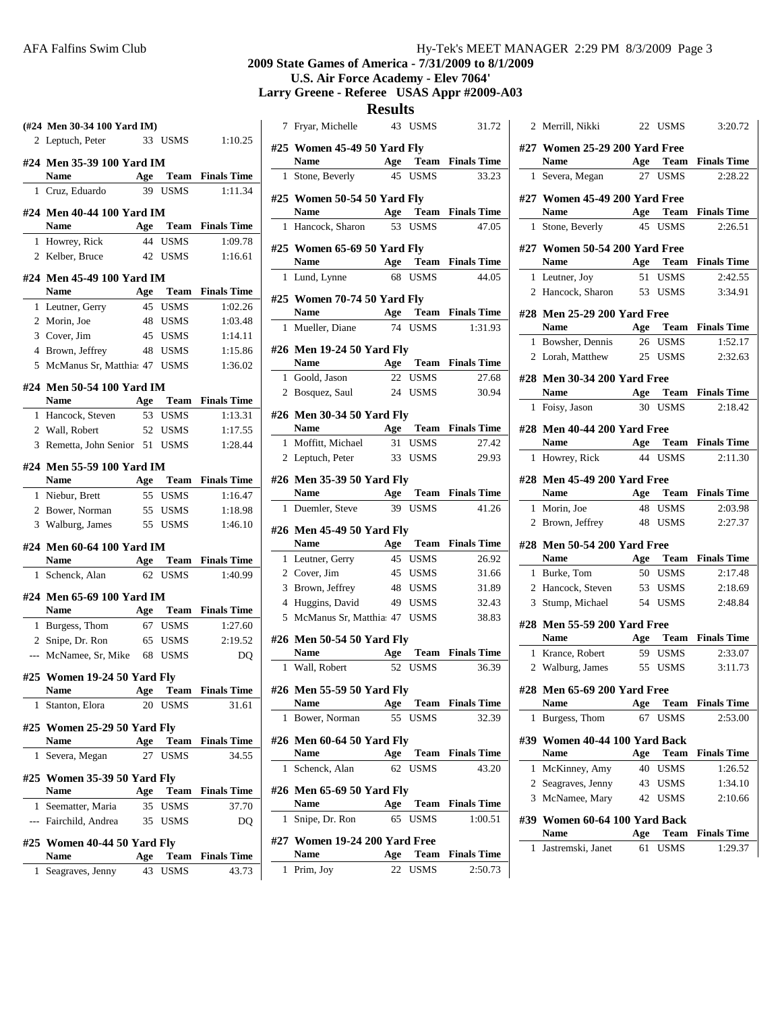|                       |                                                                                                       |             |                                                                                                                                                                                                                                                                                                                                                                                                                                                                                                                                                                                                                                                                                                    |                                                                                                                                                                                                                                                                                                                                                                                                                                                | 7 Fry                                                                                                                                                                                      |
|-----------------------|-------------------------------------------------------------------------------------------------------|-------------|----------------------------------------------------------------------------------------------------------------------------------------------------------------------------------------------------------------------------------------------------------------------------------------------------------------------------------------------------------------------------------------------------------------------------------------------------------------------------------------------------------------------------------------------------------------------------------------------------------------------------------------------------------------------------------------------------|------------------------------------------------------------------------------------------------------------------------------------------------------------------------------------------------------------------------------------------------------------------------------------------------------------------------------------------------------------------------------------------------------------------------------------------------|--------------------------------------------------------------------------------------------------------------------------------------------------------------------------------------------|
|                       |                                                                                                       |             |                                                                                                                                                                                                                                                                                                                                                                                                                                                                                                                                                                                                                                                                                                    |                                                                                                                                                                                                                                                                                                                                                                                                                                                |                                                                                                                                                                                            |
|                       |                                                                                                       |             |                                                                                                                                                                                                                                                                                                                                                                                                                                                                                                                                                                                                                                                                                                    |                                                                                                                                                                                                                                                                                                                                                                                                                                                | Na                                                                                                                                                                                         |
|                       |                                                                                                       |             |                                                                                                                                                                                                                                                                                                                                                                                                                                                                                                                                                                                                                                                                                                    |                                                                                                                                                                                                                                                                                                                                                                                                                                                | <b>Sto</b>                                                                                                                                                                                 |
|                       |                                                                                                       |             |                                                                                                                                                                                                                                                                                                                                                                                                                                                                                                                                                                                                                                                                                                    |                                                                                                                                                                                                                                                                                                                                                                                                                                                |                                                                                                                                                                                            |
|                       |                                                                                                       |             |                                                                                                                                                                                                                                                                                                                                                                                                                                                                                                                                                                                                                                                                                                    |                                                                                                                                                                                                                                                                                                                                                                                                                                                |                                                                                                                                                                                            |
|                       |                                                                                                       |             |                                                                                                                                                                                                                                                                                                                                                                                                                                                                                                                                                                                                                                                                                                    |                                                                                                                                                                                                                                                                                                                                                                                                                                                | Na                                                                                                                                                                                         |
|                       |                                                                                                       |             |                                                                                                                                                                                                                                                                                                                                                                                                                                                                                                                                                                                                                                                                                                    |                                                                                                                                                                                                                                                                                                                                                                                                                                                |                                                                                                                                                                                            |
|                       |                                                                                                       |             |                                                                                                                                                                                                                                                                                                                                                                                                                                                                                                                                                                                                                                                                                                    | #25 W                                                                                                                                                                                                                                                                                                                                                                                                                                          |                                                                                                                                                                                            |
|                       |                                                                                                       |             |                                                                                                                                                                                                                                                                                                                                                                                                                                                                                                                                                                                                                                                                                                    |                                                                                                                                                                                                                                                                                                                                                                                                                                                | Na                                                                                                                                                                                         |
|                       |                                                                                                       |             |                                                                                                                                                                                                                                                                                                                                                                                                                                                                                                                                                                                                                                                                                                    | 1                                                                                                                                                                                                                                                                                                                                                                                                                                              | Lui                                                                                                                                                                                        |
| <b>Name</b>           |                                                                                                       |             |                                                                                                                                                                                                                                                                                                                                                                                                                                                                                                                                                                                                                                                                                                    |                                                                                                                                                                                                                                                                                                                                                                                                                                                |                                                                                                                                                                                            |
| 1 Leutner, Gerry      |                                                                                                       |             | 1:02.26                                                                                                                                                                                                                                                                                                                                                                                                                                                                                                                                                                                                                                                                                            |                                                                                                                                                                                                                                                                                                                                                                                                                                                | Na                                                                                                                                                                                         |
| 2 Morin, Joe          |                                                                                                       |             | 1:03.48                                                                                                                                                                                                                                                                                                                                                                                                                                                                                                                                                                                                                                                                                            |                                                                                                                                                                                                                                                                                                                                                                                                                                                | 1 Mu                                                                                                                                                                                       |
|                       |                                                                                                       |             | 1:14.11                                                                                                                                                                                                                                                                                                                                                                                                                                                                                                                                                                                                                                                                                            |                                                                                                                                                                                                                                                                                                                                                                                                                                                |                                                                                                                                                                                            |
| 4 Brown, Jeffrey      |                                                                                                       |             | 1:15.86                                                                                                                                                                                                                                                                                                                                                                                                                                                                                                                                                                                                                                                                                            |                                                                                                                                                                                                                                                                                                                                                                                                                                                |                                                                                                                                                                                            |
|                       |                                                                                                       |             |                                                                                                                                                                                                                                                                                                                                                                                                                                                                                                                                                                                                                                                                                                    |                                                                                                                                                                                                                                                                                                                                                                                                                                                | Na                                                                                                                                                                                         |
|                       |                                                                                                       |             |                                                                                                                                                                                                                                                                                                                                                                                                                                                                                                                                                                                                                                                                                                    |                                                                                                                                                                                                                                                                                                                                                                                                                                                | Go                                                                                                                                                                                         |
| Name                  |                                                                                                       |             |                                                                                                                                                                                                                                                                                                                                                                                                                                                                                                                                                                                                                                                                                                    |                                                                                                                                                                                                                                                                                                                                                                                                                                                |                                                                                                                                                                                            |
|                       |                                                                                                       |             | 1:13.31                                                                                                                                                                                                                                                                                                                                                                                                                                                                                                                                                                                                                                                                                            | #26 M                                                                                                                                                                                                                                                                                                                                                                                                                                          |                                                                                                                                                                                            |
| 2 Wall, Robert        |                                                                                                       |             | 1:17.55                                                                                                                                                                                                                                                                                                                                                                                                                                                                                                                                                                                                                                                                                            |                                                                                                                                                                                                                                                                                                                                                                                                                                                | Na                                                                                                                                                                                         |
|                       |                                                                                                       |             | 1:28.44                                                                                                                                                                                                                                                                                                                                                                                                                                                                                                                                                                                                                                                                                            |                                                                                                                                                                                                                                                                                                                                                                                                                                                | 1 Mc                                                                                                                                                                                       |
|                       |                                                                                                       |             |                                                                                                                                                                                                                                                                                                                                                                                                                                                                                                                                                                                                                                                                                                    |                                                                                                                                                                                                                                                                                                                                                                                                                                                |                                                                                                                                                                                            |
|                       |                                                                                                       |             |                                                                                                                                                                                                                                                                                                                                                                                                                                                                                                                                                                                                                                                                                                    |                                                                                                                                                                                                                                                                                                                                                                                                                                                |                                                                                                                                                                                            |
|                       |                                                                                                       |             |                                                                                                                                                                                                                                                                                                                                                                                                                                                                                                                                                                                                                                                                                                    |                                                                                                                                                                                                                                                                                                                                                                                                                                                | Na                                                                                                                                                                                         |
|                       |                                                                                                       |             |                                                                                                                                                                                                                                                                                                                                                                                                                                                                                                                                                                                                                                                                                                    | 1                                                                                                                                                                                                                                                                                                                                                                                                                                              | Du                                                                                                                                                                                         |
|                       |                                                                                                       |             | 1:46.10                                                                                                                                                                                                                                                                                                                                                                                                                                                                                                                                                                                                                                                                                            |                                                                                                                                                                                                                                                                                                                                                                                                                                                |                                                                                                                                                                                            |
|                       |                                                                                                       |             |                                                                                                                                                                                                                                                                                                                                                                                                                                                                                                                                                                                                                                                                                                    |                                                                                                                                                                                                                                                                                                                                                                                                                                                | Na                                                                                                                                                                                         |
|                       |                                                                                                       |             |                                                                                                                                                                                                                                                                                                                                                                                                                                                                                                                                                                                                                                                                                                    |                                                                                                                                                                                                                                                                                                                                                                                                                                                |                                                                                                                                                                                            |
|                       |                                                                                                       |             |                                                                                                                                                                                                                                                                                                                                                                                                                                                                                                                                                                                                                                                                                                    |                                                                                                                                                                                                                                                                                                                                                                                                                                                |                                                                                                                                                                                            |
|                       |                                                                                                       |             |                                                                                                                                                                                                                                                                                                                                                                                                                                                                                                                                                                                                                                                                                                    |                                                                                                                                                                                                                                                                                                                                                                                                                                                |                                                                                                                                                                                            |
|                       |                                                                                                       |             |                                                                                                                                                                                                                                                                                                                                                                                                                                                                                                                                                                                                                                                                                                    |                                                                                                                                                                                                                                                                                                                                                                                                                                                |                                                                                                                                                                                            |
|                       |                                                                                                       |             |                                                                                                                                                                                                                                                                                                                                                                                                                                                                                                                                                                                                                                                                                                    |                                                                                                                                                                                                                                                                                                                                                                                                                                                |                                                                                                                                                                                            |
| 1 Burgess, Thom       |                                                                                                       |             | 1:27.60                                                                                                                                                                                                                                                                                                                                                                                                                                                                                                                                                                                                                                                                                            |                                                                                                                                                                                                                                                                                                                                                                                                                                                |                                                                                                                                                                                            |
| 2 Snipe, Dr. Ron      |                                                                                                       |             | 2:19.52                                                                                                                                                                                                                                                                                                                                                                                                                                                                                                                                                                                                                                                                                            | #26 M                                                                                                                                                                                                                                                                                                                                                                                                                                          |                                                                                                                                                                                            |
|                       |                                                                                                       |             | DQ                                                                                                                                                                                                                                                                                                                                                                                                                                                                                                                                                                                                                                                                                                 |                                                                                                                                                                                                                                                                                                                                                                                                                                                | Na                                                                                                                                                                                         |
|                       |                                                                                                       |             |                                                                                                                                                                                                                                                                                                                                                                                                                                                                                                                                                                                                                                                                                                    |                                                                                                                                                                                                                                                                                                                                                                                                                                                | Wa                                                                                                                                                                                         |
| Name                  | Age                                                                                                   |             |                                                                                                                                                                                                                                                                                                                                                                                                                                                                                                                                                                                                                                                                                                    | #26 M                                                                                                                                                                                                                                                                                                                                                                                                                                          |                                                                                                                                                                                            |
| Stanton, Elora        | 20                                                                                                    | <b>USMS</b> | 31.61                                                                                                                                                                                                                                                                                                                                                                                                                                                                                                                                                                                                                                                                                              |                                                                                                                                                                                                                                                                                                                                                                                                                                                | Na                                                                                                                                                                                         |
|                       |                                                                                                       |             |                                                                                                                                                                                                                                                                                                                                                                                                                                                                                                                                                                                                                                                                                                    | 1                                                                                                                                                                                                                                                                                                                                                                                                                                              | Bo                                                                                                                                                                                         |
|                       |                                                                                                       |             |                                                                                                                                                                                                                                                                                                                                                                                                                                                                                                                                                                                                                                                                                                    |                                                                                                                                                                                                                                                                                                                                                                                                                                                |                                                                                                                                                                                            |
|                       |                                                                                                       |             |                                                                                                                                                                                                                                                                                                                                                                                                                                                                                                                                                                                                                                                                                                    |                                                                                                                                                                                                                                                                                                                                                                                                                                                | Na                                                                                                                                                                                         |
|                       |                                                                                                       |             |                                                                                                                                                                                                                                                                                                                                                                                                                                                                                                                                                                                                                                                                                                    | 1                                                                                                                                                                                                                                                                                                                                                                                                                                              | Scł                                                                                                                                                                                        |
|                       |                                                                                                       |             |                                                                                                                                                                                                                                                                                                                                                                                                                                                                                                                                                                                                                                                                                                    |                                                                                                                                                                                                                                                                                                                                                                                                                                                |                                                                                                                                                                                            |
| Name                  |                                                                                                       | Team        | <b>Finals Time</b>                                                                                                                                                                                                                                                                                                                                                                                                                                                                                                                                                                                                                                                                                 | #26 M                                                                                                                                                                                                                                                                                                                                                                                                                                          |                                                                                                                                                                                            |
| Seematter, Maria<br>1 | 35                                                                                                    | USMS        | 37.70                                                                                                                                                                                                                                                                                                                                                                                                                                                                                                                                                                                                                                                                                              |                                                                                                                                                                                                                                                                                                                                                                                                                                                | Na                                                                                                                                                                                         |
| --- Fairchild, Andrea | 35                                                                                                    | <b>USMS</b> | DQ                                                                                                                                                                                                                                                                                                                                                                                                                                                                                                                                                                                                                                                                                                 |                                                                                                                                                                                                                                                                                                                                                                                                                                                | Sni                                                                                                                                                                                        |
|                       |                                                                                                       |             |                                                                                                                                                                                                                                                                                                                                                                                                                                                                                                                                                                                                                                                                                                    | #27 W                                                                                                                                                                                                                                                                                                                                                                                                                                          |                                                                                                                                                                                            |
| Name                  |                                                                                                       |             |                                                                                                                                                                                                                                                                                                                                                                                                                                                                                                                                                                                                                                                                                                    |                                                                                                                                                                                                                                                                                                                                                                                                                                                | Na                                                                                                                                                                                         |
|                       | Name<br>Name<br>3 Cover, Jim<br>Name<br>1 Niebur, Brett<br>2 Bower, Norman<br>Name<br>1 Severa, Megan | 27<br>Age   | (#24 Men 30-34 100 Yard IM)<br>#24 Men 35-39 100 Yard IM<br>1 Cruz, Eduardo 39 USMS<br>#24 Men 40-44 100 Yard IM<br>1 Howrey, Rick 44 USMS<br>2 Kelber, Bruce 42 USMS<br>#24 Men 45-49 100 Yard IM<br>45 USMS<br>48 USMS<br>45 USMS<br>48 USMS<br>5 McManus Sr, Matthia: 47 USMS<br>#24 Men 50-54 100 Yard IM<br>1 Hancock, Steven 53 USMS<br>52 USMS<br>#24 Men 55-59 100 Yard IM<br>55 USMS<br>55 USMS<br>#24 Men 60-64 100 Yard IM<br>1 Schenck, Alan 62 USMS<br>#24 Men 65-69 100 Yard IM<br>$-67$ USMS<br>65 USMS<br>--- McNamee, Sr, Mike 68 USMS<br>#25 Women 19-24 50 Yard Fly<br>#25 Women 25-29 50 Yard Fly<br>USMS<br>#25 Women 35-39 50 Yard Fly<br>#25 Women 40-44 50 Yard Fly<br>Age | 2 Leptuch, Peter 33 USMS 1:10.25<br><b>Age</b> Team Finals Time<br>1:11.34<br><b>Age</b> Team Finals Time<br>1:09.78<br>1:16.61<br>Age Team Finals Time<br>1:36.02<br>Age Team Finals Time<br>3 Remetta, John Senior 51 USMS<br><b>Age</b> Team Finals Time<br>1:16.47<br>1:18.98<br>3 Walburg, James 55 USMS<br>Name Age Team Finals Time<br>1:40.99<br>Name Age Team Finals Time<br><b>Team</b> Finals Time<br>Age Team Finals Time<br>34.55 | #25 W<br>1<br>#25 W<br>1 Ha<br>#25 W<br>#26 M<br>1<br>2 Bo<br>$2$ Lep<br>#26 Mo<br>#26 M<br>1 Let<br>$2 \text{ Co}$<br>3 Bro<br>4 Hu<br>5 Mc<br>1<br>#26 M<br>1<br><b>Team</b> Finals Time |

1 Seagraves, Jenny 43 USMS 43.73

|   |                                     | <b>Results</b> |                    |                               |                |
|---|-------------------------------------|----------------|--------------------|-------------------------------|----------------|
|   | 7 Fryar, Michelle                   |                | 43 USMS            | 31.72                         | 2              |
|   | #25 Women 45-49 50 Yard Fly         |                |                    |                               | #27            |
|   | <b>Name</b>                         |                |                    | Age Team Finals Time          |                |
|   | 1 Stone, Beverly                    |                | 45 USMS            | 33.23                         | $\mathbf{1}$   |
|   | #25 Women 50-54 50 Yard Fly         |                |                    |                               | #27            |
|   | Name                                | Age            |                    | <b>Team</b> Finals Time       |                |
| 1 | Hancock, Sharon                     | 53             | <b>USMS</b>        | 47.05                         | 1              |
|   | #25 Women 65-69 50 Yard Fly         |                |                    |                               | #27            |
|   | Name Age Team Finals Time           |                |                    |                               |                |
| 1 | Lund, Lynne                         | 68             | <b>USMS</b>        | 44.05                         | 1              |
|   |                                     |                |                    |                               | $\overline{c}$ |
|   | #25 Women 70-74 50 Yard Fly<br>Name |                |                    | Age Team Finals Time          | #28            |
| 1 | Mueller, Diane 74 USMS              |                |                    | 1:31.93                       |                |
|   |                                     |                |                    |                               | $\mathbf{1}$   |
|   | #26 Men 19-24 50 Yard Fly           |                |                    |                               | 2              |
|   | Name<br>1 Goold, Jason              |                | 22 USMS            | Age Team Finals Time<br>27.68 |                |
|   | 2 Bosquez, Saul                     |                | 24 USMS            | 30.94                         | #28            |
|   |                                     |                |                    |                               | 1              |
|   | #26 Men 30-34 50 Yard Fly           |                |                    |                               |                |
|   | Name                                |                |                    | Age Team Finals Time          | #28            |
|   | 1 Moffitt, Michael                  |                | 31 USMS            | 27.42                         |                |
|   | 2 Leptuch, Peter                    |                | 33 USMS            | 29.93                         | 1              |
|   | #26 Men 35-39 50 Yard Fly           |                |                    |                               | #28            |
|   | Name                                | Age            |                    | <b>Team</b> Finals Time       |                |
| 1 | Duemler, Steve                      |                | 39 USMS            | 41.26                         | 1              |
|   | #26 Men 45-49 50 Yard Fly           |                |                    |                               | 2              |
|   | <b>Name</b>                         |                |                    | Age Team Finals Time          | #28            |
|   | 1 Leutner, Gerry                    |                | 45 USMS            | 26.92                         |                |
|   | 2 Cover, Jim                        |                | 45 USMS            | 31.66                         | 1              |
|   | 3 Brown, Jeffrey                    |                | 48 USMS<br>49 USMS | 31.89                         | 2              |
|   | 4 Huggins, David                    |                |                    | 32.43<br>38.83                | 3              |
|   | 5 McManus Sr, Matthia: 47 USMS      |                |                    |                               | #28            |
|   | #26 Men 50-54 50 Yard Fly           |                |                    |                               |                |
|   | Name                                | Age            | Team               | <b>Finals Time</b>            | 1              |
| 1 | Wall, Robert                        | 52             | <b>USMS</b>        | 36.39                         | 2              |
|   | #26 Men 55-59 50 Yard Fly           |                |                    |                               | #28            |
|   | Name                                | Age            |                    | <b>Team</b> Finals Time       |                |
| 1 | Bower, Norman                       | 55             | <b>USMS</b>        | 32.39                         | 1              |
|   | #26 Men 60-64 50 Yard Fly           |                |                    |                               | #39            |
|   | Name                                |                | Age Team           | <b>Finals Time</b>            |                |
| 1 | Schenck, Alan                       |                | 62 USMS            | 43.20                         | 1              |
|   | #26 Men 65-69 50 Yard Fly           |                |                    |                               | 2              |
|   | Name                                | Age            | Team               | <b>Finals Time</b>            | 3              |
| 1 | Snipe, Dr. Ron                      | 65             | <b>USMS</b>        | 1:00.51                       | #39            |
|   | #27 Women 19-24 200 Yard Free       |                |                    |                               |                |
|   | <b>Name</b>                         | Age            |                    | <b>Team</b> Finals Time       | 1              |
| 1 | Prim, Joy                           | 22             | <b>USMS</b>        | 2:50.73                       |                |
|   |                                     |                |                    |                               |                |

|              |                                              |     |             | 3:20.72                                  |
|--------------|----------------------------------------------|-----|-------------|------------------------------------------|
|              | #27 Women 25-29 200 Yard Free<br><b>Name</b> |     |             | <b>Age Team Finals Time</b>              |
|              |                                              | 27  |             | USMS 2:28.22                             |
|              | 1 Severa, Megan                              |     |             |                                          |
|              | #27 Women 45-49 200 Yard Free                |     |             |                                          |
|              | <b>Name</b>                                  |     |             | <b>Age</b> Team Finals Time              |
|              | 1 Stone, Beverly                             |     | 45 USMS     | 2:26.51                                  |
|              | #27 Women 50-54 200 Yard Free                |     |             |                                          |
|              | <b>Name</b>                                  |     |             | Age Team Finals Time                     |
|              | 1 Leutner, Joy                               |     | 51 USMS     | 2:42.55                                  |
|              | 2 Hancock, Sharon 53 USMS                    |     |             | 3:34.91                                  |
|              | #28 Men 25-29 200 Yard Free                  |     |             |                                          |
|              | Name Age Team Finals Time                    |     |             |                                          |
|              | 1 Bowsher, Dennis                            |     | 26 USMS     | 1:52.17                                  |
|              | 2 Lorah, Matthew                             |     | 25 USMS     | 2:32.63                                  |
|              |                                              |     |             |                                          |
|              | #28 Men 30-34 200 Yard Free                  |     |             |                                          |
|              | <b>Name</b><br>1 Foisy, Jason                |     | 30 USMS     | <b>Age</b> Team Finals Time<br>2:18.42   |
|              |                                              |     |             |                                          |
|              | #28 Men 40-44 200 Yard Free                  |     |             |                                          |
|              | Name Age Team Finals Time                    |     |             |                                          |
|              | 1 Howrey, Rick                               |     | 44 USMS     | 2:11.30                                  |
|              | #28 Men 45-49 200 Yard Free                  |     |             |                                          |
|              | Name Age Team Finals Time                    |     |             |                                          |
|              | 1 Morin, Joe                                 |     | 48 USMS     | 2:03.98                                  |
|              | 2 Brown, Jeffrey                             |     | 48 USMS     | 2:27.37                                  |
|              | #28 Men 50-54 200 Yard Free                  |     |             |                                          |
|              | Name                                         |     |             | Age Team Finals Time                     |
|              | 1 Burke, Tom                                 |     | 50 USMS     | 2:17.48                                  |
|              | 2 Hancock, Steven                            |     | 53 USMS     | 2:18.69                                  |
|              | 3 Stump, Michael                             |     | 54 USMS     | 2:48.84                                  |
|              | #28 Men 55-59 200 Yard Free                  |     |             |                                          |
|              | <b>Name</b>                                  |     |             | <b>Age</b> Team Finals Time              |
|              |                                              |     |             |                                          |
|              |                                              |     |             |                                          |
|              | 1 Krance, Robert                             |     | 59 USMS     | 2:33.07                                  |
|              | 2 Walburg, James                             |     | 55 USMS     | 3:11.73                                  |
|              | #28 Men 65-69 200 Yard Free                  |     |             |                                          |
|              | <b>Name</b>                                  | Age | Team        | <b>Finals Time</b>                       |
| 1            | Burgess, Thom                                | 67  | <b>USMS</b> | 2:53.00                                  |
|              | Women 40-44 100 Yard Back                    |     |             |                                          |
|              | Name                                         | Age | Team        |                                          |
| 1            | McKinney, Amy                                | 40  | USMS        |                                          |
| $\mathbf{2}$ | Seagraves, Jenny                             | 43  | <b>USMS</b> | <b>Finals Time</b><br>1:26.52<br>1:34.10 |
| #39          | 3 McNamee, Mary                              | 42  | USMS        | 2:10.66                                  |
|              | #39 Women 60-64 100 Yard Back                |     |             |                                          |
|              | Name                                         | Age | <b>Team</b> | <b>Finals Time</b>                       |
| 1            | Jastremski, Janet                            | 61  | <b>USMS</b> | 1:29.37                                  |

**2009 State Games of America - 7/31/2009 to 8/1/2009 U.S. Air Force Academy - Elev 7064'**

**Larry Greene - Referee USAS Appr #2009-A03**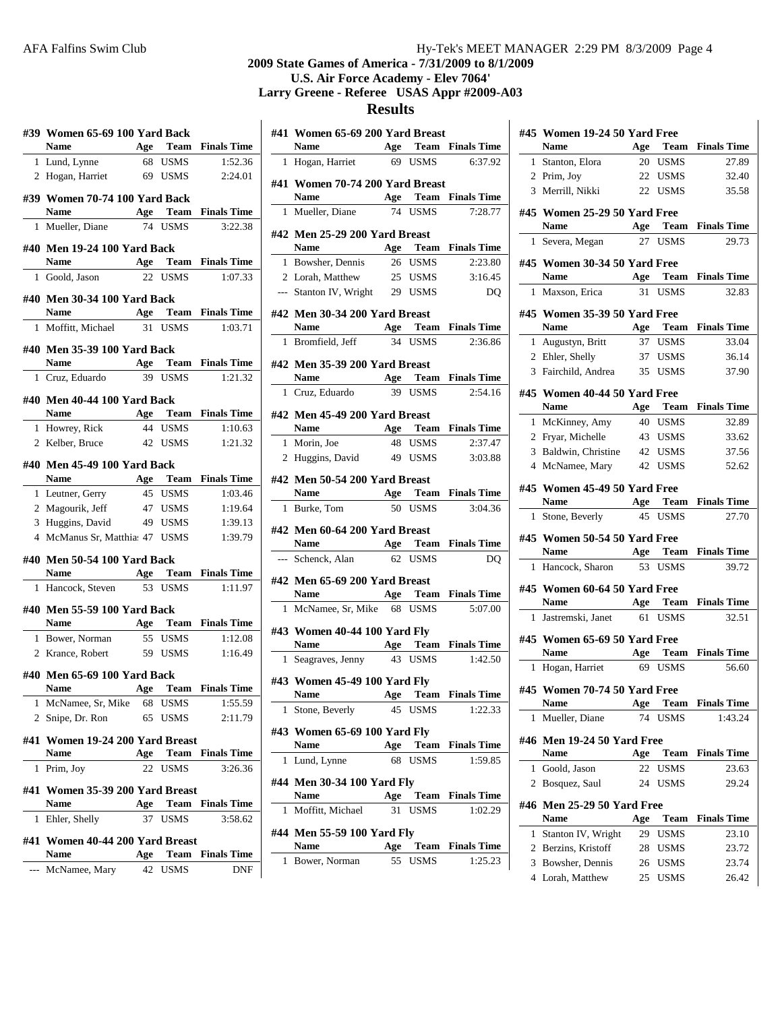# **2009 State Games of America - 7/31/2009 to 8/1/2009 U.S. Air Force Academy - Elev 7064' Larry Greene - Referee USAS Appr #2009-A03**

# **Results**

|              | #39 Women 65-69 100 Yard Back      |     |             |                      | #41            |
|--------------|------------------------------------|-----|-------------|----------------------|----------------|
|              | Name                               |     |             | Age Team Finals Time |                |
|              | 1 Lund, Lynne 68 USMS              |     |             | 1:52.36              | $\overline{1}$ |
|              | 2 Hogan, Harriet 69 USMS           |     |             | 2:24.01              |                |
|              |                                    |     |             |                      | #41            |
|              | #39 Women 70-74 100 Yard Back      |     |             |                      |                |
|              | Name Age Team Finals Time          |     |             |                      | $\overline{1}$ |
|              | 1 Mueller, Diane 74 USMS           |     |             | 3:22.38              | #42            |
|              | #40 Men 19-24 100 Yard Back        |     |             |                      |                |
|              | Name Age Team Finals Time          |     |             |                      | 1              |
|              | 1 Goold, Jason 22 USMS 1:07.33     |     |             |                      | 2              |
|              |                                    |     |             |                      | $---$          |
|              | #40 Men 30-34 100 Yard Back        |     |             |                      |                |
|              | Name Age Team Finals Time          |     |             |                      | #42            |
|              | 1 Moffitt, Michael 31 USMS 1:03.71 |     |             |                      |                |
|              | #40 Men 35-39 100 Yard Back        |     |             |                      | 1              |
|              | Name Age Team Finals Time          |     |             |                      | #42            |
|              | 1 Cruz, Eduardo 39 USMS            |     |             | 1:21.32              |                |
|              |                                    |     |             |                      | - 1            |
|              | #40 Men 40-44 100 Yard Back        |     |             |                      |                |
|              | Name Age Team Finals Time          |     |             |                      | #42            |
|              | 1 Howrey, Rick 44 USMS             |     |             | 1:10.63              |                |
|              | 2 Kelber, Bruce 42 USMS            |     |             | 1:21.32              | 1              |
|              | #40 Men 45-49 100 Yard Back        |     |             |                      | 2              |
|              | Name Age Team Finals Time          |     |             |                      | #42            |
|              | 1 Leutner, Gerry                   |     | 45 USMS     | 1:03.46              |                |
|              | 2 Magourik, Jeff                   |     | 47 USMS     | 1:19.64              | 1              |
|              | 3 Huggins, David 49 USMS           |     |             | 1:39.13              |                |
|              | 4 McManus Sr, Matthia: 47 USMS     |     |             | 1:39.79              | #42            |
|              |                                    |     |             |                      |                |
|              | #40 Men 50-54 100 Yard Back        |     |             |                      | $\overline{a}$ |
|              | Name Age Team Finals Time          |     |             |                      | #42            |
|              | 1 Hancock, Steven 53 USMS 1:11.97  |     |             |                      |                |
|              | #40 Men 55-59 100 Yard Back        |     |             |                      | 1              |
|              | Name Age Team Finals Time          |     |             |                      |                |
|              | 1 Bower, Norman 55 USMS            |     |             | 1:12.08              | #43            |
|              | 2 Krance, Robert 59 USMS           |     |             | 1:16.49              |                |
|              |                                    |     |             |                      | 1              |
|              | #40 Men 65-69 100 Yard Back        |     |             |                      | #43            |
|              | Name Age Team Finals Time          |     |             |                      |                |
| $\mathbf{1}$ | McNamee, Sr, Mike                  | 68  | USMS        | 1:55.59              | 1              |
| 2            | Snipe, Dr. Ron                     | 65  | <b>USMS</b> | 2:11.79              |                |
|              | #41 Women 19-24 200 Yard Breast    |     |             |                      | #43            |
|              | <b>Name</b>                        | Age | Team        | <b>Finals Time</b>   |                |
| 1            | Prim, Joy                          | 22  | <b>USMS</b> | 3:26.36              | 1              |
|              |                                    |     |             |                      | #44            |
| #41          | Women 35-39 200 Yard Breast        |     |             |                      |                |
|              | <b>Name</b>                        |     |             | Age Team Finals Time | 1              |
| 1            | Ehler, Shelly                      | 37  | <b>USMS</b> | 3:58.62              |                |
|              | #41  Women 40-44 200 Yard Breast   |     |             |                      | #44            |
|              | <b>Name</b>                        | Age | Team        | <b>Finals Time</b>   |                |
|              |                                    |     |             |                      | 1              |
|              | McNamee, Mary                      | 42  | <b>USMS</b> | DNF                  |                |

|   | #41 Women 65-69 200 Yard Breast                            |     |             |                                       | #45 W |            |
|---|------------------------------------------------------------|-----|-------------|---------------------------------------|-------|------------|
|   | Name                                                       |     |             | <b>Example 1 Age Team Finals Time</b> |       | Na         |
|   | 1 Hogan, Harriet 69 USMS 6:37.92                           |     |             |                                       |       | 1 Sta      |
|   | #41 Women 70-74 200 Yard Breast                            |     |             |                                       |       | 2 Pri      |
|   | Name Age Team Finals Time                                  |     |             |                                       |       | 3 Me       |
|   | 1 Mueller, Diane 74 USMS                                   |     |             | 7:28.77                               | #45 W |            |
|   | #42 Men 25-29 200 Yard Breast                              |     |             |                                       |       | Na         |
|   | Name                                                       |     |             | Age Team Finals Time                  |       | $1$ Sev    |
|   | 1 Bowsher, Dennis 26 USMS                                  |     |             | 2:23.80                               | #45 W |            |
|   | 2 Lorah, Matthew 25 USMS 3:16.45                           |     |             |                                       |       | Na         |
|   | --- Stanton IV, Wright 29 USMS                             |     |             | DO.                                   |       | 1 Ma       |
|   | #42 Men 30-34 200 Yard Breast                              |     |             |                                       | #45 W |            |
|   | Name Age Team Finals Time                                  |     |             |                                       |       | Na         |
|   | 1 Bromfield, Jeff 34 USMS                                  |     |             | 2:36.86                               |       | $1$ Au     |
|   | #42 Men 35-39 200 Yard Breast                              |     |             |                                       |       | $2$ Eh     |
|   | Name Age Team Finals Time                                  |     |             |                                       |       | 3 Fai      |
|   | 1 Cruz, Eduardo 39 USMS 2:54.16                            |     |             |                                       | #45 W |            |
|   |                                                            |     |             |                                       |       | Na         |
|   | #42 Men 45-49 200 Yard Breast                              |     |             |                                       |       | 1 Mc       |
|   | Name Age Team Finals Time                                  |     |             |                                       |       | $2$ Fry    |
|   | 1 Morin, Joe                                               |     | 48 USMS     | 2:37.47                               |       | 3 Bal      |
|   | 2 Huggins, David 49 USMS                                   |     |             | 3:03.88                               |       | 4 Mc       |
|   | #42 Men 50-54 200 Yard Breast<br>Name Age Team Finals Time |     |             |                                       | #45 W |            |
|   | 1 Burke, Tom 50 USMS 3:04.36                               |     |             |                                       |       | Na         |
|   |                                                            |     |             |                                       |       | 1 Sto      |
|   | #42 Men 60-64 200 Yard Breast                              |     |             |                                       | #45 W |            |
|   | Name Age Team Finals Time                                  |     |             | DO.                                   |       | Na         |
|   | --- Schenck, Alan 62 USMS                                  |     |             |                                       |       | 1 Ha       |
|   | #42 Men 65-69 200 Yard Breast                              |     |             |                                       | #45 W |            |
|   | Name Age Team Finals Time                                  |     |             |                                       |       | Na         |
|   | 1 McNamee, Sr, Mike 68 USMS 5:07.00                        |     |             |                                       |       | 1 Jas      |
|   | #43 Women 40-44 100 Yard Fly                               |     |             |                                       |       |            |
|   | Name                                                       |     |             | <b>Age</b> Team Finals Time           | #45 W |            |
|   | 1 Seagraves, Jenny $43$ USMS $1:42.\overline{50}$          |     |             |                                       |       | Na<br>1 Ho |
|   | #43 Women 45-49 100 Yard Fly                               |     |             |                                       |       |            |
|   | Name                                                       | Age |             | <b>Team</b> Finals Time               | #45 W |            |
| 1 | Stone, Beverly                                             | 45  | <b>USMS</b> | 1:22.33                               |       | Na         |
|   | #43 Women 65-69 100 Yard Fly                               |     |             |                                       | 1     | Μu         |
|   | <b>Name</b>                                                | Age | Team        | <b>Finals Time</b>                    | #46 M |            |
| 1 | Lund, Lynne                                                | 68  | <b>USMS</b> | 1:59.85                               |       | Na         |
|   |                                                            |     |             |                                       | 1     | Go         |
|   | #44 Men 30-34 100 Yard Fly                                 |     |             |                                       | 2     | Bo         |
|   | Name                                                       | Age |             | <b>Team</b> Finals Time               | #46 M |            |
| 1 | Moffitt, Michael                                           | 31  | <b>USMS</b> | 1:02.29                               |       | Na         |
|   | #44 Men 55-59 100 Yard Fly                                 |     |             |                                       | 1     | Sta        |
|   | <b>Name</b>                                                |     | Age Team    | <b>Finals Time</b>                    |       | 2 Ber      |
| 1 | Bower, Norman                                              | 55  | USMS        | 1:25.23                               | 3     | Bo         |
|   |                                                            |     |             |                                       |       |            |

|              | #45 Women 19-24 50 Yard Free                |     |             |                         |
|--------------|---------------------------------------------|-----|-------------|-------------------------|
|              | Name                                        | Age |             | <b>Team</b> Finals Time |
|              | 1 Stanton, Elora                            |     | 20 USMS     | 27.89                   |
|              | 2 Prim, Joy                                 |     | 22 USMS     | 32.40                   |
|              | 3 Merrill, Nikki                            |     | 22 USMS     | 35.58                   |
|              | #45 Women 25-29 50 Yard Free                |     |             |                         |
|              | <b>Name</b>                                 |     | Age Team    | <b>Finals Time</b>      |
| 1            | Severa, Megan                               | 27  | <b>USMS</b> | 29.73                   |
|              | #45 Women 30-34 50 Yard Free                |     |             |                         |
|              | <b>Name</b>                                 |     |             | Age Team Finals Time    |
| 1            | Maxson, Erica                               | 31  | <b>USMS</b> | 32.83                   |
|              | #45 Women 35-39 50 Yard Free                |     |             |                         |
|              | <b>Name</b>                                 |     |             | Age Team Finals Time    |
|              | 1 Augustyn, Britt                           |     | 37 USMS     | 33.04                   |
|              | 2 Ehler, Shelly                             |     | 37 USMS     | 36.14                   |
|              | 3 Fairchild, Andrea 35 USMS                 |     |             | 37.90                   |
|              | #45 Women 40-44 50 Yard Free                |     |             |                         |
|              | <b>Name</b>                                 |     |             | Age Team Finals Time    |
|              | 1 McKinney, Amy                             |     | 40 USMS     | 32.89                   |
|              | 2 Fryar, Michelle                           |     | 43 USMS     | 33.62                   |
|              | 3 Baldwin, Christine                        |     | 42 USMS     | 37.56                   |
|              | 4 McNamee, Mary                             |     | 42 USMS     | 52.62                   |
|              | #45 Women 45-49 50 Yard Free                |     |             |                         |
|              | Name                                        |     |             | Age Team Finals Time    |
| 1            | Stone, Beverly                              | 45  | USMS        | 27.70                   |
|              | #45 Women 50-54 50 Yard Free                |     |             |                         |
|              | <b>Name</b>                                 |     | Age Team    | <b>Finals Time</b>      |
| 1            | Hancock, Sharon                             |     | 53 USMS     | 39.72                   |
|              | #45 Women 60-64 50 Yard Free                |     |             |                         |
|              | <b>Name</b>                                 | Age |             | <b>Team</b> Finals Time |
|              | 1 Jastremski, Janet                         |     | 61 USMS     | 32.51                   |
|              |                                             |     |             |                         |
|              | #45 Women 65-69 50 Yard Free<br><b>Name</b> |     |             | Age Team Finals Time    |
|              | 1 Hogan, Harriet                            |     | 69 USMS     | 56.60                   |
|              |                                             |     |             |                         |
|              | #45 Women 70-74 50 Yard Free                |     |             |                         |
|              | Name                                        |     | Age Team    | <b>Finals Time</b>      |
| 1            | Mueller, Diane                              | 74  | <b>USMS</b> | 1:43.24                 |
|              | #46 Men 19-24 50 Yard Free                  |     |             |                         |
|              | Name                                        | Age | Team        | <b>Finals Time</b>      |
| 1            | Goold, Jason                                | 22  | USMS        | 23.63                   |
| 2            | Bosquez, Saul                               | 24  | USMS        | 29.24                   |
|              | #46 Men 25-29 50 Yard Free                  |     |             |                         |
|              | Name                                        |     | Age Team    | <b>Finals Time</b>      |
| $\mathbf{1}$ | Stanton IV, Wright                          | 29  | <b>USMS</b> | 23.10                   |
|              | 2 Berzins, Kristoff                         | 28  | <b>USMS</b> | 23.72                   |
|              | 3 Bowsher, Dennis                           |     | 26 USMS     | 23.74                   |
|              | 4 Lorah, Matthew                            | 25  | <b>USMS</b> | 26.42                   |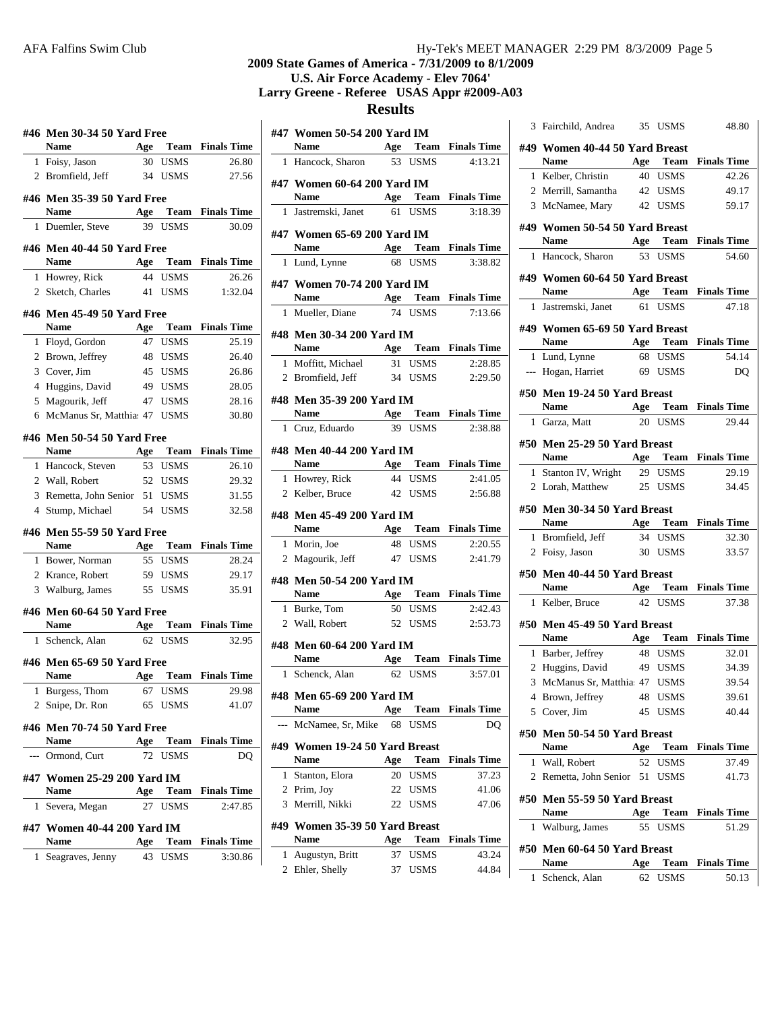#### **2009 State Games of America - 7/31/2009 to 8/1/2009 U.S. Air Force Academy - Elev 7064' Larry Greene - Referee USAS Appr #2009-A03**

#### **Results**

|              | #46 Men 30-34 50 Yard Free                |     |             |                                       | #47 W          |                 |
|--------------|-------------------------------------------|-----|-------------|---------------------------------------|----------------|-----------------|
|              | Name<br>Age                               |     |             | <b>Team</b> Finals Time               |                | Na              |
|              | 1 Foisy, Jason                            |     | 30 USMS     | 26.80                                 | 1              | Ha              |
|              | 2 Bromfield, Jeff                         |     | 34 USMS     | 27.56                                 | #47 W          |                 |
|              | #46 Men 35-39 50 Yard Free                |     |             |                                       |                | Na              |
|              | Name<br>Age                               |     |             | <b>Team</b> Finals Time               | 1              | Jas             |
| 1            | Duemler, Steve                            |     | 39 USMS     | 30.09                                 |                |                 |
|              |                                           |     |             |                                       | #47 W          |                 |
|              | #46 Men 40-44 50 Yard Free                |     |             |                                       |                | Na              |
|              | <b>Name</b>                               |     |             | Age Team Finals Time                  | 1              | Lui             |
|              | 1 Howrey, Rick                            |     | 44 USMS     | 26.26                                 | #47 W          |                 |
|              | 2 Sketch, Charles                         |     | 41 USMS     | 1:32.04                               |                | Na              |
|              | #46 Men 45-49 50 Yard Free                | 1   | Mu          |                                       |                |                 |
|              | Age Team<br>Name                          |     |             | <b>Finals Time</b>                    | #48 M          |                 |
| $\mathbf{1}$ | Floyd, Gordon                             |     | 47 USMS     | 25.19                                 |                | Na              |
|              | 2 Brown, Jeffrey                          |     | 48 USMS     | 26.40                                 | 1              | Mc              |
|              | 3 Cover, Jim                              |     | 45 USMS     | 26.86                                 |                | 2 <sub>Br</sub> |
|              | 4 Huggins, David                          |     | 49 USMS     | 28.05                                 |                |                 |
|              | 5 Magourik, Jeff                          |     | 47 USMS     | 28.16                                 | #48 M          |                 |
|              | 6 McManus Sr, Matthia: 47 USMS            |     |             | 30.80                                 |                | Na              |
|              | #46 Men 50-54 50 Yard Free                |     |             |                                       | 1              | C <sub>1</sub>  |
|              | Name                                      |     |             | <b>Age</b> Team Finals Time           | #48 M          |                 |
|              | 1 Hancock, Steven                         |     | 53 USMS     | 26.10                                 |                | Na              |
|              | 2 Wall, Robert                            |     | 52 USMS     | 29.32                                 | $\mathbf{1}$   | Ho              |
|              | 3 Remetta, John Senior 51 USMS            |     |             | 31.55                                 | $\overline{2}$ | Kel             |
|              | 4 Stump, Michael                          |     | 54 USMS     | 32.58                                 | #48 M          |                 |
|              |                                           |     |             |                                       |                | Na              |
|              | #46 Men 55-59 50 Yard Free<br><b>Name</b> |     |             | Age Team Finals Time                  |                | 1 Mc            |
|              | 1 Bower, Norman                           |     | 55 USMS     | 28.24                                 |                | 2 Ma            |
|              | 2 Krance, Robert                          |     | 59 USMS     | 29.17                                 |                |                 |
|              | 3 Walburg, James                          |     | 55 USMS     | 35.91                                 | #48 M          |                 |
|              |                                           |     |             |                                       |                | Na              |
|              | #46 Men 60-64 50 Yard Free                |     |             |                                       | 1              | Bu              |
|              | Name<br>$\overline{\phantom{a}}$ Age      |     |             | <b>Team</b> Finals Time               |                | 2 Wa            |
| $\mathbf{1}$ | Schenck, Alan 62 USMS                     |     |             | 32.95                                 | #48 M          |                 |
|              | #46 Men 65-69 50 Yard Free                |     |             |                                       |                | Na              |
|              | <b>Name</b>                               |     |             | <b>Example 1 Age Team Finals Time</b> |                | 1 Sch           |
| $\mathbf{1}$ | Burgess, Thom                             |     | 67 USMS     | 29.98                                 | #48 M          |                 |
|              | 2 Snipe, Dr. Ron                          |     | 65 USMS     | 41.07                                 |                | Na              |
|              | #46 Men 70-74 50 Yard Free                |     |             |                                       | $---$          | Mc              |
|              | Name                                      | Age | <b>Team</b> | <b>Finals Time</b>                    |                |                 |
|              | Ormond, Curt                              | 72  | USMS        | DO                                    | #49 W          |                 |
|              |                                           |     |             |                                       |                | Na              |
|              | #47  Women 25-29 200 Yard IM              |     |             |                                       | 1              | Sta             |
|              | Name                                      | Age | Team        | <b>Finals Time</b>                    |                | 2 Pri           |
| 1            | Severa, Megan                             | 27  | <b>USMS</b> | 2:47.85                               | 3              | Me              |
|              | #47 Women 40-44 200 Yard IM               |     |             |                                       | #49 W          |                 |
|              | Name                                      | Age | Team        | <b>Finals Time</b>                    |                | Na              |
| 1            | Seagraves, Jenny                          | 43  | USMS        | 3:30.86                               | 1              | Au              |

|       | #47 Women 50-54 200 Yard IM                                      |     |             |                                       | 3 Fai   |
|-------|------------------------------------------------------------------|-----|-------------|---------------------------------------|---------|
|       | Name                                                             |     |             | Age Team Finals Time                  | #49 W   |
|       | 1 Hancock, Sharon 53 USMS 4:13.21                                |     |             |                                       |         |
|       |                                                                  |     |             |                                       | $1$ Ke  |
|       | #47 Women 60-64 200 Yard IM                                      |     |             |                                       | 2 Me    |
|       | Name Age Team Finals Time<br>1 Jastremski, Janet 61 USMS         |     |             | 3:18.39                               | 3 Mc    |
|       |                                                                  |     |             |                                       | #49 W   |
|       | #47 Women 65-69 200 Yard IM                                      |     |             |                                       |         |
|       | Name Age Team Finals Time                                        |     |             |                                       | 1 Ha    |
|       | 1 Lund, Lynne                                                    |     |             | 68 USMS 3:38.82                       |         |
|       | #47 Women 70-74 200 Yard IM                                      |     |             |                                       | #49 W   |
|       | Name                                                             |     |             | <b>Example 1 Age Team Finals Time</b> |         |
|       | 1 Mueller, Diane 74 USMS 7:13.66                                 |     |             |                                       | 1 Jas   |
|       |                                                                  |     |             |                                       | #49 W   |
|       | #48 Men 30-34 200 Yard IM                                        |     |             |                                       |         |
|       | Name Age Team Finals Time                                        |     |             |                                       | $1$ Lui |
|       | 1 Moffitt, Michael 31 USMS                                       |     |             | 2:28.85                               | --- Ho  |
|       | 2 Bromfield, Jeff 34 USMS                                        |     |             | 2:29.50                               |         |
|       | #48 Men 35-39 200 Yard IM                                        |     |             |                                       | #50 M   |
|       | Name Age Team Finals Time                                        |     |             |                                       |         |
|       | 1 Cruz, Eduardo 39 USMS 2:38.88                                  |     |             |                                       | 1 Ga    |
|       | #48 Men 40-44 200 Yard IM                                        |     |             |                                       | #50 M   |
|       | <b>Name</b>                                                      |     |             | Age Team Finals Time                  |         |
|       | 1 Howrey, Rick                                                   |     | 44 USMS     | 2:41.05                               | 1 Sta   |
|       | 2 Kelber, Bruce                                                  |     | 42 USMS     | 2:56.88                               | $2$ Lor |
|       |                                                                  |     |             |                                       | #50 M   |
|       | #48 Men 45-49 200 Yard IM                                        |     |             |                                       |         |
|       | Name Age Team Finals Time                                        |     |             |                                       | 1 Bro   |
|       | 1 Morin, Joe 48 USMS 2:20.55<br>2 Magourik, Jeff 47 USMS 2:41.79 |     |             |                                       | 2 Foi   |
|       |                                                                  |     |             |                                       |         |
|       | #48 Men 50-54 200 Yard IM                                        |     |             |                                       | #50 M   |
|       | Name Age Team Finals Time                                        |     |             |                                       |         |
|       | 1 Burke, Tom                                                     |     |             | 50 USMS 2:42.43                       | $1$ Ke  |
|       | 2 Wall, Robert 52 USMS 2:53.73                                   |     |             |                                       | #50 M   |
|       | #48 Men 60-64 200 Yard IM                                        |     |             |                                       |         |
|       | <b>Name</b>                                                      |     |             | <b>Age</b> Team Finals Time           | 1 Ba    |
|       | 1 Schenck, Alan 62 USMS 3:57.01                                  |     |             |                                       | 2 Hu    |
|       |                                                                  |     |             |                                       | 3 Mc    |
|       | #48 Men 65-69 200 Yard IM                                        |     |             |                                       | 4 Bro   |
|       | Name                                                             | Age |             | <b>Team</b> Finals Time               | 5 Co    |
| $---$ | McNamee, Sr, Mike                                                | 68  | <b>USMS</b> | DQ                                    | #50 M   |
|       | #49 Women 19-24 50 Yard Breast                                   |     |             |                                       |         |
|       | <b>Name</b>                                                      | Age | Team        | <b>Finals Time</b>                    | 1       |
|       | 1 Stanton, Elora                                                 | 20  | USMS        | 37.23                                 | 2 Rei   |
|       | 2 Prim, Joy                                                      | 22  | <b>USMS</b> | 41.06                                 |         |
|       | 3 Merrill, Nikki                                                 | 22  | <b>USMS</b> | 47.06                                 | #50 M   |
|       | #49 Women 35-39 50 Yard Breast                                   |     |             |                                       | 1       |
|       | Name                                                             | Age | Team        | <b>Finals Time</b>                    |         |
|       | 1 Augustyn, Britt                                                | 37  | USMS        | 43.24                                 | #50 M   |
|       | 2 Ehler, Shelly                                                  | 37  | <b>USMS</b> | 44.84                                 |         |
|       |                                                                  |     |             |                                       |         |

| 3 Fairchild, Andrea            | 35  | USMS        | 48.80                       |  |
|--------------------------------|-----|-------------|-----------------------------|--|
| #49 Women 40-44 50 Yard Breast |     |             |                             |  |
| <b>Name</b>                    |     |             | Age Team Finals Time        |  |
| 1 Kelber, Christin             | 40  | <b>USMS</b> | 42.26                       |  |
| 2 Merrill, Samantha            |     | 42 USMS     | 49.17                       |  |
| 3 McNamee, Mary                |     | 42 USMS     | 59.17                       |  |
| #49 Women 50-54 50 Yard Breast |     |             |                             |  |
| Name                           |     |             | Age Team Finals Time        |  |
| 1 Hancock, Sharon              |     | 53 USMS     | 54.60                       |  |
| #49 Women 60-64 50 Yard Breast |     |             |                             |  |
| Name Age Team Finals Time      |     |             |                             |  |
| 1 Jastremski, Janet            | 61  | <b>USMS</b> | 47.18                       |  |
| #49 Women 65-69 50 Yard Breast |     |             |                             |  |
| Name Age Team Finals Time      |     |             |                             |  |
| 1 Lund, Lynne                  |     | 68 USMS     | 54.14                       |  |
| --- Hogan, Harriet             |     | 69 USMS     | DQ                          |  |
| #50 Men 19-24 50 Yard Breast   |     |             |                             |  |
| Name                           | Age |             | <b>Team</b> Finals Time     |  |
| 1 Garza, Matt                  | 20  | USMS        | 29.44                       |  |
| #50 Men 25-29 50 Yard Breast   |     |             |                             |  |
| <b>Name</b>                    |     |             | Age Team Finals Time        |  |
| 1 Stanton IV, Wright 29 USMS   |     |             | 29.19                       |  |
| 2 Lorah, Matthew               |     | 25 USMS     | 34.45                       |  |
| #50 Men 30-34 50 Yard Breast   |     |             |                             |  |
| <b>Name</b>                    |     |             | <b>Age</b> Team Finals Time |  |
| 1 Bromfield, Jeff              | 34  | USMS        | 32.30                       |  |
| 2 Foisy, Jason                 | 30  | <b>USMS</b> | 33.57                       |  |
| #50 Men 40-44 50 Yard Breast   |     |             |                             |  |
| <b>Name</b>                    |     |             | Age Team Finals Time        |  |
| 1 Kelber, Bruce                |     | 42 USMS     | 37.38                       |  |
| #50 Men 45-49 50 Yard Breast   |     |             |                             |  |
| Name                           |     |             | <b>Age</b> Team Finals Time |  |
| 1 Barber, Jeffrey              |     | 48 USMS     | 32.01                       |  |
| 2 Huggins, David               |     | 49 USMS     | 34.39                       |  |
| 3 McManus Sr, Matthia: 47 USMS |     |             | 39.54                       |  |
| 4 Brown, Jeffrey               |     | 48 USMS     | 39.61                       |  |
| 5 Cover, Jim                   | 45  | <b>USMS</b> | 40.44                       |  |
| #50 Men 50-54 50 Yard Breast   |     |             |                             |  |
| Name                           |     |             | Age Team Finals Time        |  |
| 1 Wall, Robert                 | 52  | USMS        | 37.49                       |  |
| 2 Remetta, John Senior 51 USMS |     |             | 41.73                       |  |
| #50 Men 55-59 50 Yard Breast   |     |             |                             |  |
| <b>Name</b>                    | Age |             | <b>Team</b> Finals Time     |  |
| 1 Walburg, James               | 55  | <b>USMS</b> | 51.29                       |  |
| #50 Men 60-64 50 Yard Breast   |     |             |                             |  |
| Name                           | Age |             | <b>Team</b> Finals Time     |  |
| 1 Schenck, Alan                | 62  | <b>USMS</b> | 50.13                       |  |